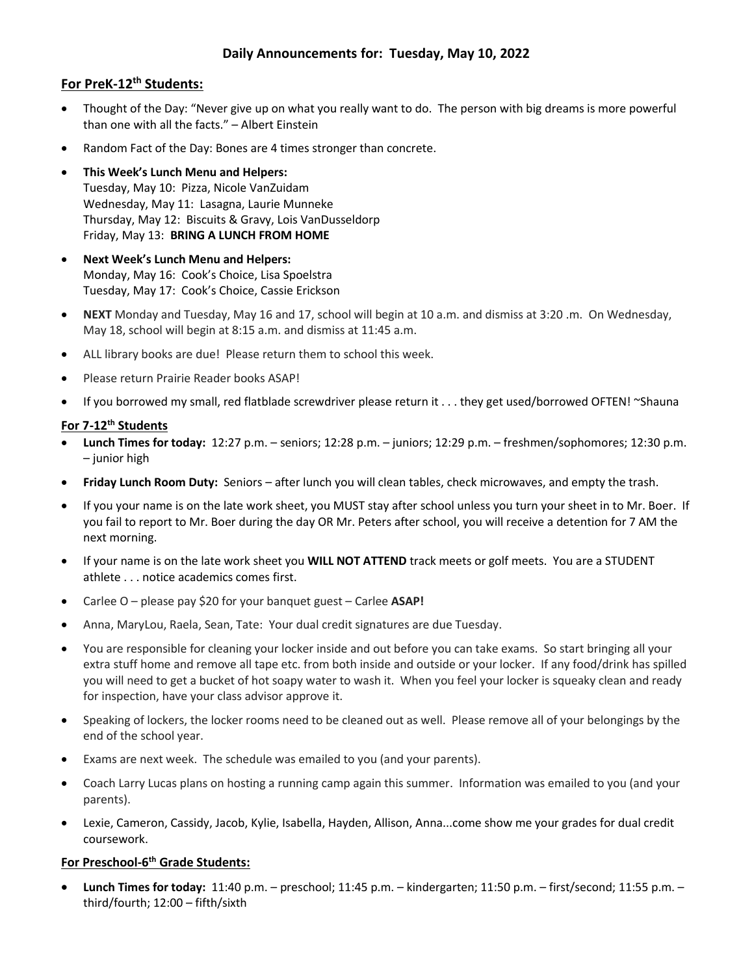# **Daily Announcements for: Tuesday, May 10, 2022**

## **For PreK-12th Students:**

- Thought of the Day: "Never give up on what you really want to do. The person with big dreams is more powerful than one with all the facts." – Albert Einstein
- Random Fact of the Day: Bones are 4 times stronger than concrete.
- **This Week's Lunch Menu and Helpers:** Tuesday, May 10: Pizza, Nicole VanZuidam Wednesday, May 11: Lasagna, Laurie Munneke Thursday, May 12: Biscuits & Gravy, Lois VanDusseldorp Friday, May 13: **BRING A LUNCH FROM HOME**
- **Next Week's Lunch Menu and Helpers:** Monday, May 16: Cook's Choice, Lisa Spoelstra Tuesday, May 17: Cook's Choice, Cassie Erickson
- **NEXT** Monday and Tuesday, May 16 and 17, school will begin at 10 a.m. and dismiss at 3:20 .m. On Wednesday, May 18, school will begin at 8:15 a.m. and dismiss at 11:45 a.m.
- ALL library books are due! Please return them to school this week.
- Please return Prairie Reader books ASAP!
- If you borrowed my small, red flatblade screwdriver please return it . . . they get used/borrowed OFTEN! ~Shauna

### **For 7-12th Students**

- **Lunch Times for today:** 12:27 p.m. seniors; 12:28 p.m. juniors; 12:29 p.m. freshmen/sophomores; 12:30 p.m. – junior high
- **Friday Lunch Room Duty:** Seniors after lunch you will clean tables, check microwaves, and empty the trash.
- If you your name is on the late work sheet, you MUST stay after school unless you turn your sheet in to Mr. Boer. If you fail to report to Mr. Boer during the day OR Mr. Peters after school, you will receive a detention for 7 AM the next morning.
- If your name is on the late work sheet you **WILL NOT ATTEND** track meets or golf meets. You are a STUDENT athlete . . . notice academics comes first.
- Carlee O please pay \$20 for your banquet guest Carlee **ASAP!**
- Anna, MaryLou, Raela, Sean, Tate: Your dual credit signatures are due Tuesday.
- You are responsible for cleaning your locker inside and out before you can take exams. So start bringing all your extra stuff home and remove all tape etc. from both inside and outside or your locker. If any food/drink has spilled you will need to get a bucket of hot soapy water to wash it. When you feel your locker is squeaky clean and ready for inspection, have your class advisor approve it.
- Speaking of lockers, the locker rooms need to be cleaned out as well. Please remove all of your belongings by the end of the school year.
- Exams are next week. The schedule was emailed to you (and your parents).
- Coach Larry Lucas plans on hosting a running camp again this summer. Information was emailed to you (and your parents).
- Lexie, Cameron, Cassidy, Jacob, Kylie, Isabella, Hayden, Allison, Anna...come show me your grades for dual credit coursework.

### **For Preschool-6 th Grade Students:**

 **Lunch Times for today:** 11:40 p.m. – preschool; 11:45 p.m. – kindergarten; 11:50 p.m. – first/second; 11:55 p.m. – third/fourth; 12:00 – fifth/sixth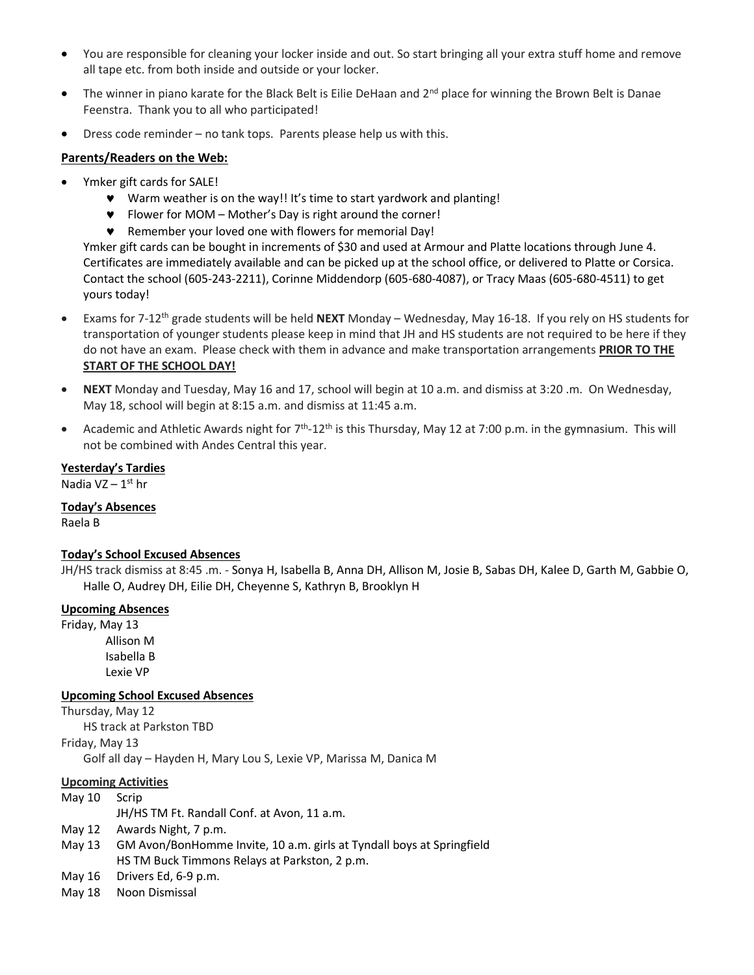- You are responsible for cleaning your locker inside and out. So start bringing all your extra stuff home and remove all tape etc. from both inside and outside or your locker.
- The winner in piano karate for the Black Belt is Eilie DeHaan and  $2^{nd}$  place for winning the Brown Belt is Danae Feenstra. Thank you to all who participated!
- Dress code reminder no tank tops. Parents please help us with this.

### **Parents/Readers on the Web:**

- Ymker gift cards for SALE!
	- Warm weather is on the way!! It's time to start yardwork and planting!
	- Flower for MOM Mother's Day is right around the corner!
	- Remember your loved one with flowers for memorial Day!

Ymker gift cards can be bought in increments of \$30 and used at Armour and Platte locations through June 4. Certificates are immediately available and can be picked up at the school office, or delivered to Platte or Corsica. Contact the school (605-243-2211), Corinne Middendorp (605-680-4087), or Tracy Maas (605-680-4511) to get yours today!

- Exams for 7-12th grade students will be held **NEXT** Monday Wednesday, May 16-18. If you rely on HS students for transportation of younger students please keep in mind that JH and HS students are not required to be here if they do not have an exam. Please check with them in advance and make transportation arrangements **PRIOR TO THE START OF THE SCHOOL DAY!**
- **NEXT** Monday and Tuesday, May 16 and 17, school will begin at 10 a.m. and dismiss at 3:20 .m. On Wednesday, May 18, school will begin at 8:15 a.m. and dismiss at 11:45 a.m.
- Academic and Athletic Awards night for  $7<sup>th</sup>$ -12<sup>th</sup> is this Thursday, May 12 at 7:00 p.m. in the gymnasium. This will not be combined with Andes Central this year.

### **Yesterday's Tardies**

Nadia VZ – 1st hr

### **Today's Absences**

Raela B

### **Today's School Excused Absences**

JH/HS track dismiss at 8:45 .m. - Sonya H, Isabella B, Anna DH, Allison M, Josie B, Sabas DH, Kalee D, Garth M, Gabbie O, Halle O, Audrey DH, Eilie DH, Cheyenne S, Kathryn B, Brooklyn H

### **Upcoming Absences**

Friday, May 13 Allison M Isabella B Lexie VP

### **Upcoming School Excused Absences**

Thursday, May 12 HS track at Parkston TBD Friday, May 13 Golf all day – Hayden H, Mary Lou S, Lexie VP, Marissa M, Danica M

#### **Upcoming Activities**

May 10 Scrip JH/HS TM Ft. Randall Conf. at Avon, 11 a.m.

- May 12 Awards Night, 7 p.m.
- May 13 GM Avon/BonHomme Invite, 10 a.m. girls at Tyndall boys at Springfield HS TM Buck Timmons Relays at Parkston, 2 p.m.
- May 16 Drivers Ed, 6-9 p.m.
- May 18 Noon Dismissal